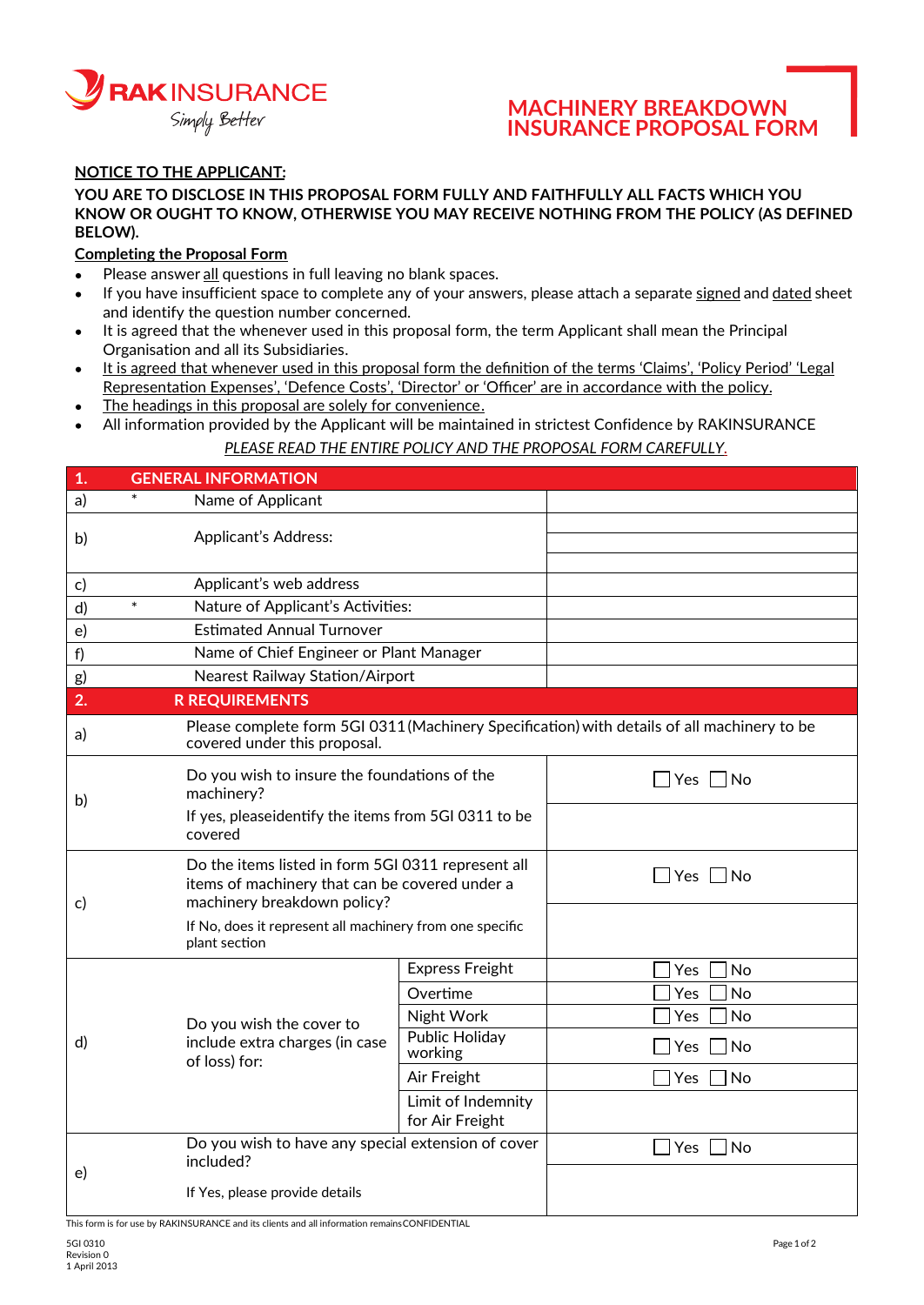

## **MACHINERY BREAKDOWN INSURANCE PROPOSAL FORM**

## **NOTICE TO THE APPLICANT:**

#### **YOU ARE TO DISCLOSE IN THIS PROPOSAL FORM FULLY AND FAITHFULLY ALL FACTS WHICH YOU KNOW OR OUGHT TO KNOW, OTHERWISE YOU MAY RECEIVE NOTHING FROM THE POLICY (AS DEFINED BELOW).**

### **Completing the Proposal Form**

- Please answer all questions in full leaving no blank spaces.
- If you have insufficient space to complete any of your answers, please attach a separate signed and dated sheet and identify the question number concerned.
- It is agreed that the whenever used in this proposal form, the term Applicant shall mean the Principal Organisation and all its Subsidiaries.
- It is agreed that whenever used in this proposal form the definition of the terms 'Claims', 'Policy Period' 'Legal Representation Expenses', 'Defence Costs', 'Director' or 'Officer' are in accordance with the policy.
- The headings in this proposal are solely for convenience.
- All information provided by the Applicant will be maintained in strictest Confidence by RAKINSURANCE

### *PLEASE READ THE ENTIRE POLICY AND THE PROPOSAL FORM CAREFULLY.*

| $\mathbf{1}$ | <b>GENERAL INFORMATION</b>                                                                                                          |                                                                                             |                  |  |  |  |  |  |
|--------------|-------------------------------------------------------------------------------------------------------------------------------------|---------------------------------------------------------------------------------------------|------------------|--|--|--|--|--|
| a)           | Name of Applicant                                                                                                                   |                                                                                             |                  |  |  |  |  |  |
| b)           | <b>Applicant's Address:</b>                                                                                                         |                                                                                             |                  |  |  |  |  |  |
|              |                                                                                                                                     |                                                                                             |                  |  |  |  |  |  |
| c)           | Applicant's web address                                                                                                             |                                                                                             |                  |  |  |  |  |  |
| d)           | $\ast$<br>Nature of Applicant's Activities:                                                                                         |                                                                                             |                  |  |  |  |  |  |
| e)           | <b>Estimated Annual Turnover</b>                                                                                                    |                                                                                             |                  |  |  |  |  |  |
| f)           | Name of Chief Engineer or Plant Manager                                                                                             |                                                                                             |                  |  |  |  |  |  |
| g)           | Nearest Railway Station/Airport                                                                                                     |                                                                                             |                  |  |  |  |  |  |
| 2.           | <b>R REQUIREMENTS</b>                                                                                                               |                                                                                             |                  |  |  |  |  |  |
| a)           | covered under this proposal.                                                                                                        | Please complete form 5GI 0311 (Machinery Specification) with details of all machinery to be |                  |  |  |  |  |  |
| b)           | Do you wish to insure the foundations of the<br>machinery?                                                                          | $\Box$ Yes $\Box$ No                                                                        |                  |  |  |  |  |  |
|              | If yes, pleaseidentify the items from 5GI 0311 to be<br>covered                                                                     |                                                                                             |                  |  |  |  |  |  |
| c)           | Do the items listed in form 5GI 0311 represent all<br>items of machinery that can be covered under a<br>machinery breakdown policy? | $\Box$ Yes $\Box$ No                                                                        |                  |  |  |  |  |  |
|              | If No, does it represent all machinery from one specific<br>plant section                                                           |                                                                                             |                  |  |  |  |  |  |
|              |                                                                                                                                     | <b>Express Freight</b>                                                                      | No<br>Yes        |  |  |  |  |  |
|              |                                                                                                                                     | Overtime                                                                                    | <b>No</b><br>Yes |  |  |  |  |  |
| $\mathsf{d}$ | Do you wish the cover to                                                                                                            | Night Work                                                                                  | No<br>Yes        |  |  |  |  |  |
|              | include extra charges (in case<br>of loss) for:                                                                                     | Public Holiday<br>working                                                                   | Yes<br><b>No</b> |  |  |  |  |  |
|              |                                                                                                                                     | Air Freight                                                                                 | Yes<br>No        |  |  |  |  |  |
|              |                                                                                                                                     | Limit of Indemnity<br>for Air Freight                                                       |                  |  |  |  |  |  |
| e)           | Do you wish to have any special extension of cover<br>included?                                                                     | Yes<br>No                                                                                   |                  |  |  |  |  |  |
|              | If Yes, please provide details                                                                                                      |                                                                                             |                  |  |  |  |  |  |

This form is for use by RAKINSURANCE and its clients and all information remainsCONFIDENTIAL